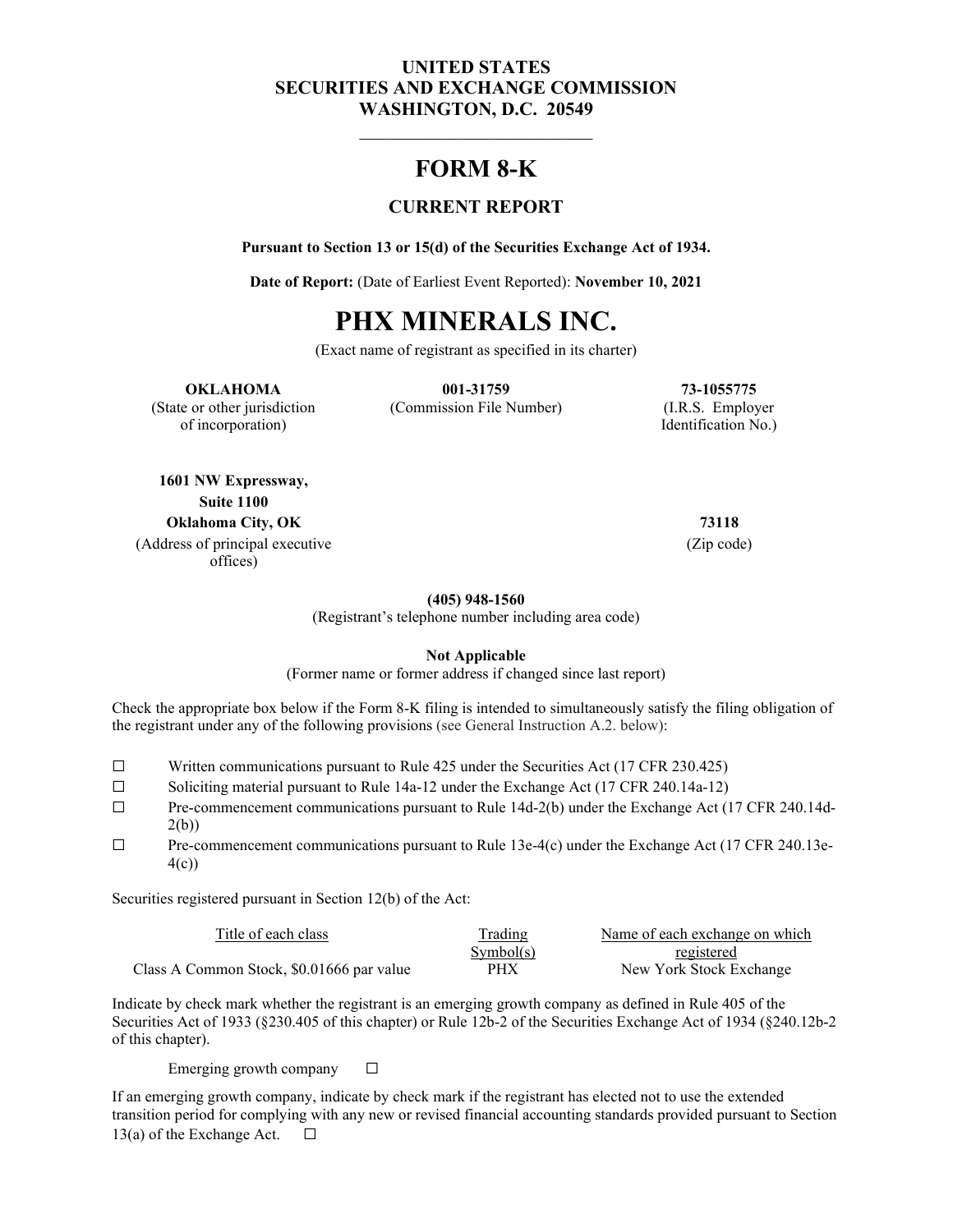## **UNITED STATES SECURITIES AND EXCHANGE COMMISSION WASHINGTON, D.C. 20549**

## **FORM 8-K**

## **CURRENT REPORT**

**Pursuant to Section 13 or 15(d) of the Securities Exchange Act of 1934.**

**Date of Report:** (Date of Earliest Event Reported): **November 10, 2021**

# **PHX MINERALS INC.**

(Exact name of registrant as specified in its charter)

#### **OKLAHOMA 001-31759 73-1055775**

of incorporation) Identification No.)

(State or other jurisdiction (Commission File Number) (I.R.S. Employer

**1601 NW Expressway, Suite 1100 Oklahoma City, OK 73118** (Address of principal executive offices)

(Zip code)

**(405) 948-1560**

(Registrant's telephone number including area code)

**Not Applicable**

(Former name or former address if changed since last report)

Check the appropriate box below if the Form 8-K filing is intended to simultaneously satisfy the filing obligation of the registrant under any of the following provisions (see General Instruction A.2. below):

- $\Box$  Written communications pursuant to Rule 425 under the Securities Act (17 CFR 230.425)<br>Soliciting material pursuant to Rule 14a-12 under the Exchange Act (17 CFR 240.14a-12)
- Soliciting material pursuant to Rule 14a-12 under the Exchange Act (17 CFR 240.14a-12)
- ☐ Pre-commencement communications pursuant to Rule 14d-2(b) under the Exchange Act (17 CFR 240.14d-2(b))

☐ Pre-commencement communications pursuant to Rule 13e-4(c) under the Exchange Act (17 CFR 240.13e-4(c))

Securities registered pursuant in Section 12(b) of the Act:

| Title of each class                       | <b>Trading</b> | Name of each exchange on which |
|-------------------------------------------|----------------|--------------------------------|
|                                           | Symbol(s)      | registered                     |
| Class A Common Stock, \$0.01666 par value | PHX            | New York Stock Exchange        |

Indicate by check mark whether the registrant is an emerging growth company as defined in Rule 405 of the Securities Act of 1933 (§230.405 of this chapter) or Rule 12b-2 of the Securities Exchange Act of 1934 (§240.12b-2 of this chapter).

Emerging growth company  $\Box$ 

If an emerging growth company, indicate by check mark if the registrant has elected not to use the extended transition period for complying with any new or revised financial accounting standards provided pursuant to Section 13(a) of the Exchange Act.  $\Box$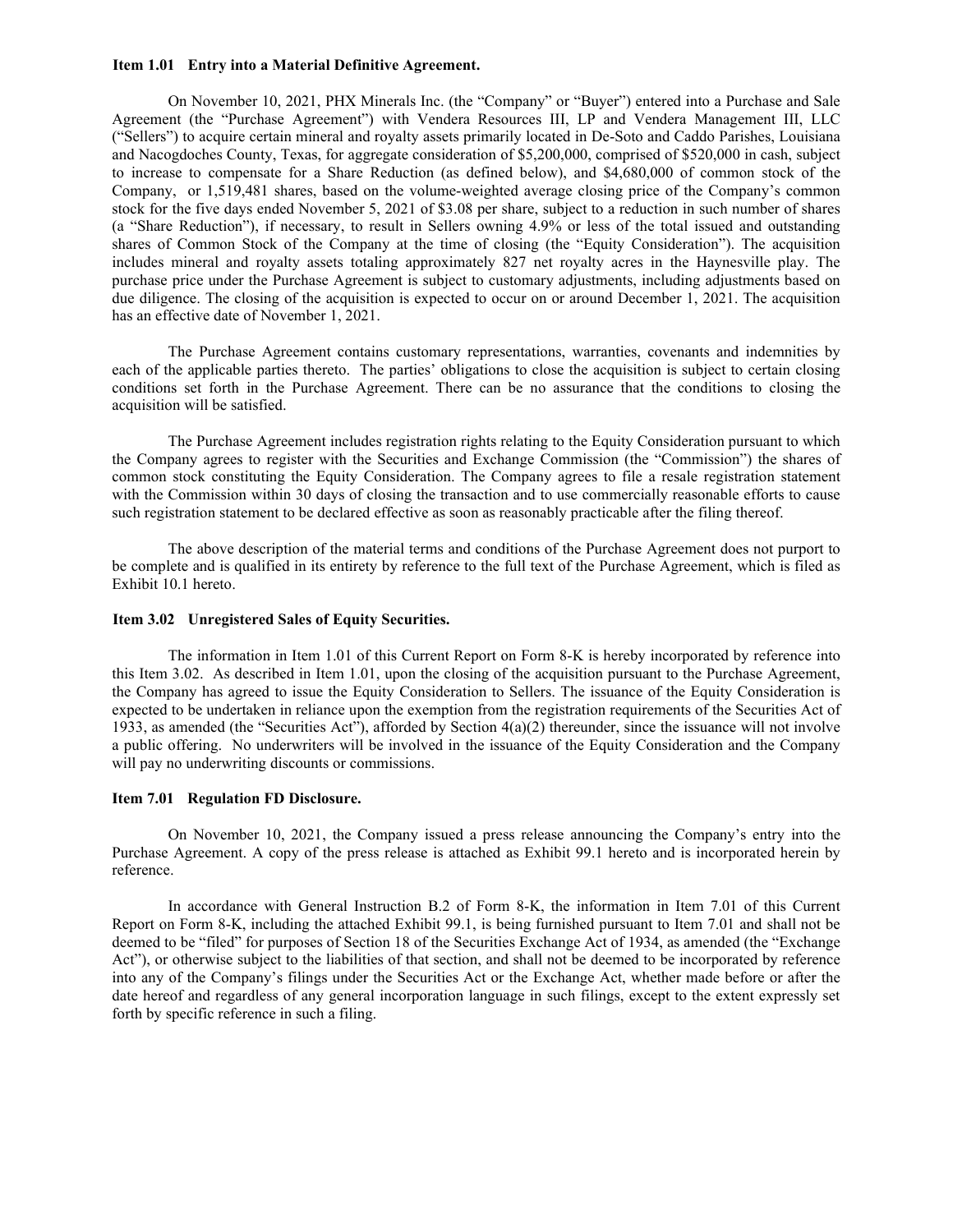#### **Item 1.01 Entry into a Material Definitive Agreement.**

On November 10, 2021, PHX Minerals Inc. (the "Company" or "Buyer") entered into a Purchase and Sale Agreement (the "Purchase Agreement") with Vendera Resources III, LP and Vendera Management III, LLC ("Sellers") to acquire certain mineral and royalty assets primarily located in De-Soto and Caddo Parishes, Louisiana and Nacogdoches County, Texas, for aggregate consideration of \$5,200,000, comprised of \$520,000 in cash, subject to increase to compensate for a Share Reduction (as defined below), and \$4,680,000 of common stock of the Company, or 1,519,481 shares, based on the volume-weighted average closing price of the Company's common stock for the five days ended November 5, 2021 of \$3.08 per share, subject to a reduction in such number of shares (a "Share Reduction"), if necessary, to result in Sellers owning 4.9% or less of the total issued and outstanding shares of Common Stock of the Company at the time of closing (the "Equity Consideration"). The acquisition includes mineral and royalty assets totaling approximately 827 net royalty acres in the Haynesville play. The purchase price under the Purchase Agreement is subject to customary adjustments, including adjustments based on due diligence. The closing of the acquisition is expected to occur on or around December 1, 2021. The acquisition has an effective date of November 1, 2021.

The Purchase Agreement contains customary representations, warranties, covenants and indemnities by each of the applicable parties thereto. The parties' obligations to close the acquisition is subject to certain closing conditions set forth in the Purchase Agreement. There can be no assurance that the conditions to closing the acquisition will be satisfied.

The Purchase Agreement includes registration rights relating to the Equity Consideration pursuant to which the Company agrees to register with the Securities and Exchange Commission (the "Commission") the shares of common stock constituting the Equity Consideration. The Company agrees to file a resale registration statement with the Commission within 30 days of closing the transaction and to use commercially reasonable efforts to cause such registration statement to be declared effective as soon as reasonably practicable after the filing thereof.

The above description of the material terms and conditions of the Purchase Agreement does not purport to be complete and is qualified in its entirety by reference to the full text of the Purchase Agreement, which is filed as Exhibit 10.1 hereto.

#### **Item 3.02 Unregistered Sales of Equity Securities.**

The information in Item 1.01 of this Current Report on Form 8-K is hereby incorporated by reference into this Item 3.02. As described in Item 1.01, upon the closing of the acquisition pursuant to the Purchase Agreement, the Company has agreed to issue the Equity Consideration to Sellers. The issuance of the Equity Consideration is expected to be undertaken in reliance upon the exemption from the registration requirements of the Securities Act of 1933, as amended (the "Securities Act"), afforded by Section 4(a)(2) thereunder, since the issuance will not involve a public offering. No underwriters will be involved in the issuance of the Equity Consideration and the Company will pay no underwriting discounts or commissions.

#### **Item 7.01 Regulation FD Disclosure.**

On November 10, 2021, the Company issued a press release announcing the Company's entry into the Purchase Agreement. A copy of the press release is attached as Exhibit 99.1 hereto and is incorporated herein by reference.

In accordance with General Instruction B.2 of Form 8-K, the information in Item 7.01 of this Current Report on Form 8-K, including the attached Exhibit 99.1, is being furnished pursuant to Item 7.01 and shall not be deemed to be "filed" for purposes of Section 18 of the Securities Exchange Act of 1934, as amended (the "Exchange Act"), or otherwise subject to the liabilities of that section, and shall not be deemed to be incorporated by reference into any of the Company's filings under the Securities Act or the Exchange Act, whether made before or after the date hereof and regardless of any general incorporation language in such filings, except to the extent expressly set forth by specific reference in such a filing.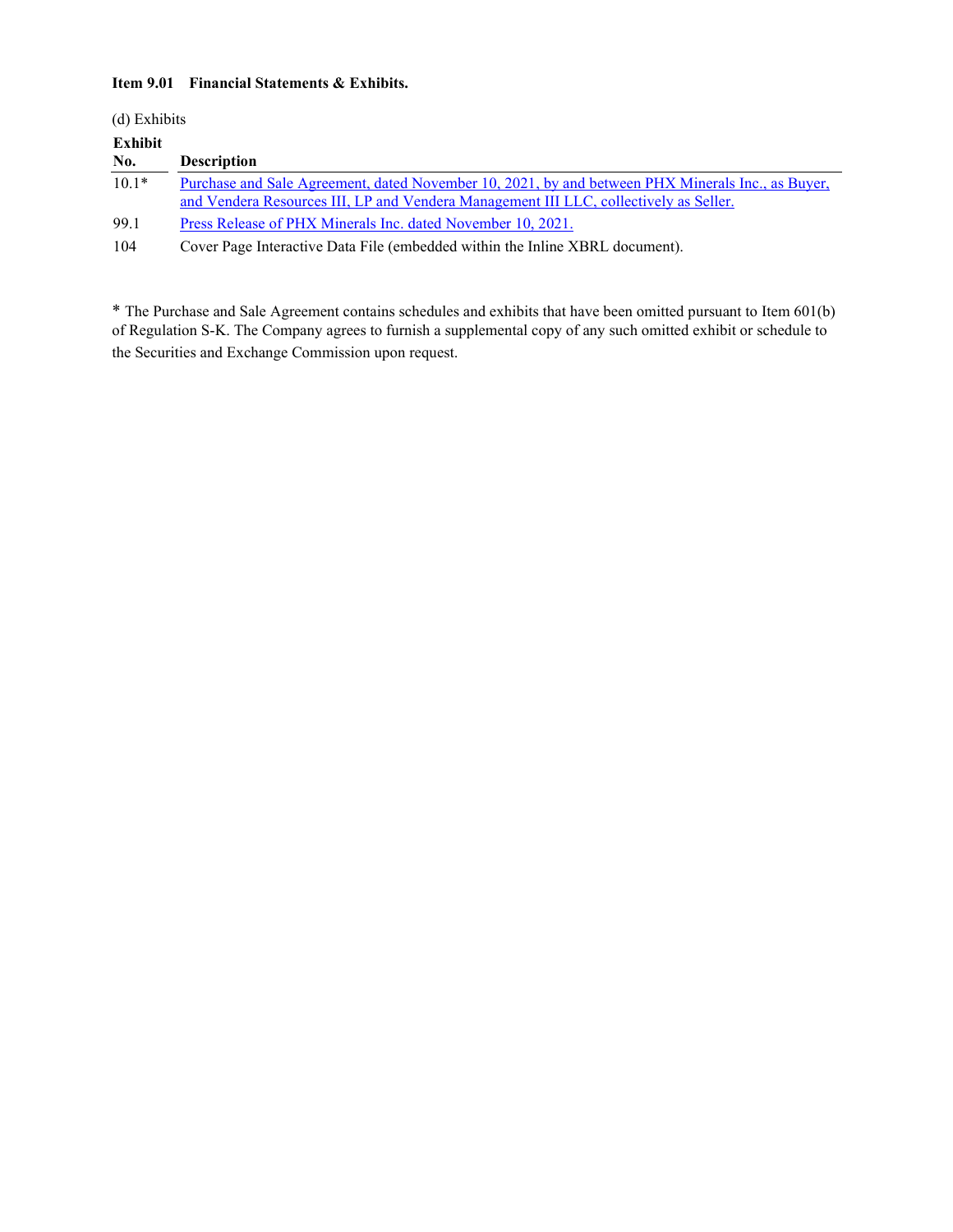### **Item 9.01 Financial Statements & Exhibits.**

| (d) Exhibits |                                                                                                                                                                                            |
|--------------|--------------------------------------------------------------------------------------------------------------------------------------------------------------------------------------------|
| Exhibit      |                                                                                                                                                                                            |
| No.          | <b>Description</b>                                                                                                                                                                         |
| $10.1*$      | Purchase and Sale Agreement, dated November 10, 2021, by and between PHX Minerals Inc., as Buyer,<br>and Vendera Resources III, LP and Vendera Management III LLC, collectively as Seller. |
| 99.1         | Press Release of PHX Minerals Inc. dated November 10, 2021.                                                                                                                                |
| 104          | Cover Page Interactive Data File (embedded within the Inline XBRL document).                                                                                                               |

\* The Purchase and Sale Agreement contains schedules and exhibits that have been omitted pursuant to Item 601(b) of Regulation S-K. The Company agrees to furnish a supplemental copy of any such omitted exhibit or schedule to the Securities and Exchange Commission upon request.